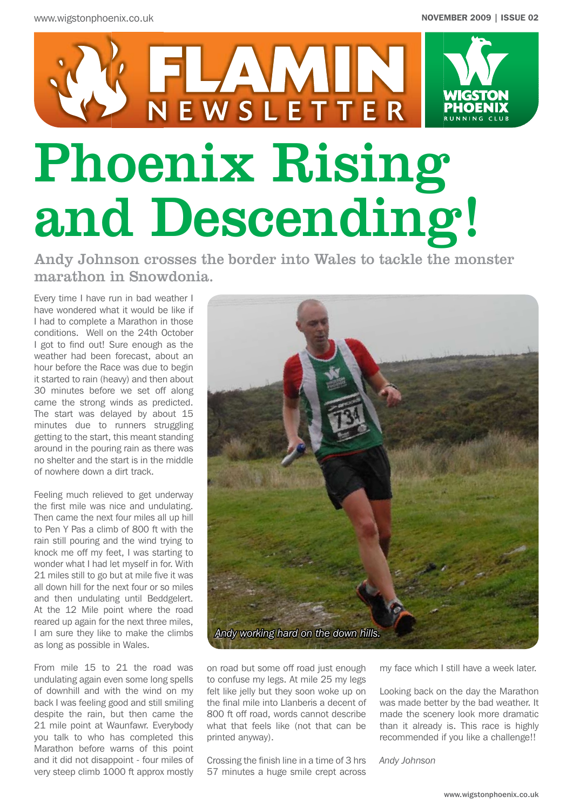

Andy Johnson crosses the border into Wales to tackle the monster marathon in Snowdonia.

Every time I have run in bad weather I have wondered what it would be like if I had to complete a Marathon in those conditions. Well on the 24th October I got to find out! Sure enough as the weather had been forecast, about an hour before the Race was due to begin it started to rain (heavy) and then about 30 minutes before we set off along came the strong winds as predicted. The start was delayed by about 15 minutes due to runners struggling getting to the start, this meant standing around in the pouring rain as there was no shelter and the start is in the middle of nowhere down a dirt track.

Feeling much relieved to get underway the first mile was nice and undulating. Then came the next four miles all up hill to Pen Y Pas a climb of 800 ft with the rain still pouring and the wind trying to knock me off my feet, I was starting to wonder what I had let myself in for. With 21 miles still to go but at mile five it was all down hill for the next four or so miles and then undulating until Beddgelert. At the 12 Mile point where the road reared up again for the next three miles, I am sure they like to make the climbs as long as possible in Wales.

From mile 15 to 21 the road was undulating again even some long spells of downhill and with the wind on my back I was feeling good and still smiling despite the rain, but then came the 21 mile point at Waunfawr. Everybody you talk to who has completed this Marathon before warns of this point and it did not disappoint - four miles of very steep climb 1000 ft approx mostly



on road but some off road just enough to confuse my legs. At mile 25 my legs felt like jelly but they soon woke up on the final mile into Llanberis a decent of 800 ft off road, words cannot describe what that feels like (not that can be printed anyway).

Crossing the finish line in a time of 3 hrs 57 minutes a huge smile crept across my face which I still have a week later.

Looking back on the day the Marathon was made better by the bad weather. It made the scenery look more dramatic than it already is. This race is highly recommended if you like a challenge!!

*Andy Johnson*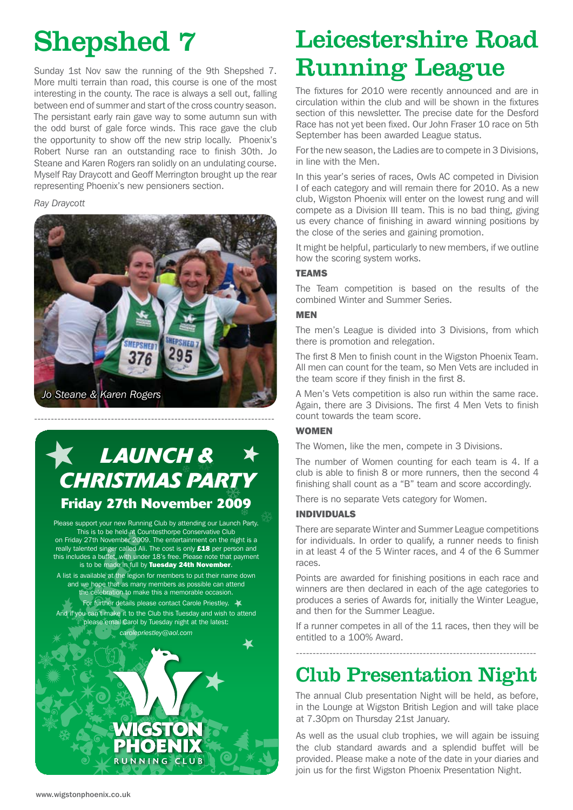## Shepshed 7

Sunday 1st Nov saw the running of the 9th Shepshed 7. More multi terrain than road, this course is one of the most interesting in the county. The race is always a sell out, falling between end of summer and start of the cross country season. The persistant early rain gave way to some autumn sun with the odd burst of gale force winds. This race gave the club the opportunity to show off the new strip locally. Phoenix's Robert Nurse ran an outstanding race to finish 30th. Jo Steane and Karen Rogers ran solidly on an undulating course. Myself Ray Draycott and Geoff Merrington brought up the rear representing Phoenix's new pensioners section.

#### *Ray Draycott*



## *LAUNCH & CHRISTMAS PARTY* **Friday 27th November 2009**

Please support your new Running Club by attending our Launch Party. This is to be held at Countesthorpe Conservative Club on Friday 27th November 2009. The entertainment on the night is a really talented singer called Ali. The cost is only £18 per person and this includes a buffet, with under 18's free. Please note that payment is to be made in full by Tuesday 24th November. A list is available at the legion for members to put their name down

and we hope that as many members as possible can attend the celebration to make this a memorable occasion. For further details please contact Carole Priestley. And if you can't make it to the Club this Tuesday and wish to attend please email Carol by Tuesday night at the latest:



## Leicestershire Road Running League

The fixtures for 2010 were recently announced and are in circulation within the club and will be shown in the fixtures section of this newsletter. The precise date for the Desford Race has not yet been fixed. Our John Fraser 10 race on 5th September has been awarded League status.

For the new season, the Ladies are to compete in 3 Divisions, in line with the Men.

In this year's series of races, Owls AC competed in Division I of each category and will remain there for 2010. As a new club, Wigston Phoenix will enter on the lowest rung and will compete as a Division III team. This is no bad thing, giving us every chance of finishing in award winning positions by the close of the series and gaining promotion.

It might be helpful, particularly to new members, if we outline how the scoring system works.

#### TEAMS

The Team competition is based on the results of the combined Winter and Summer Series.

#### MEN

The men's League is divided into 3 Divisions, from which there is promotion and relegation.

The first 8 Men to finish count in the Wigston Phoenix Team. All men can count for the team, so Men Vets are included in the team score if they finish in the first 8.

A Men's Vets competition is also run within the same race. Again, there are 3 Divisions. The first 4 Men Vets to finish count towards the team score.

#### **WOMEN**

The Women, like the men, compete in 3 Divisions.

The number of Women counting for each team is 4. If a club is able to finish 8 or more runners, then the second 4 finishing shall count as a "B" team and score accordingly.

There is no separate Vets category for Women.

#### INDIVIDUALS

There are separate Winter and Summer League competitions for individuals. In order to qualify, a runner needs to finish in at least 4 of the 5 Winter races, and 4 of the 6 Summer races.

Points are awarded for finishing positions in each race and winners are then declared in each of the age categories to produces a series of Awards for, initially the Winter League, and then for the Summer League.

If a runner competes in all of the 11 races, then they will be entitled to a 100% Award.

## Club Presentation Night

------------------------------------------------------------------------

The annual Club presentation Night will be held, as before, in the Lounge at Wigston British Legion and will take place at 7.30pm on Thursday 21st January.

As well as the usual club trophies, we will again be issuing the club standard awards and a splendid buffet will be provided. Please make a note of the date in your diaries and join us for the first Wigston Phoenix Presentation Night.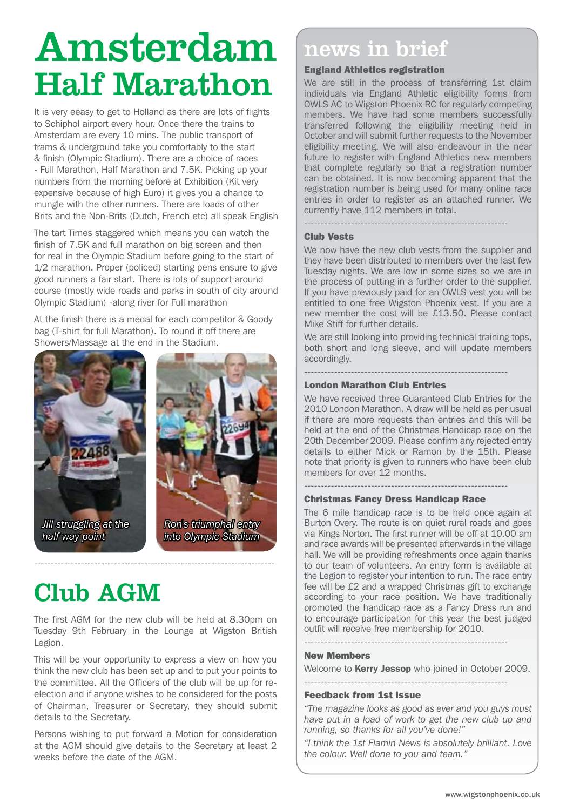# Amsterdam news in brief Half Marathon

It is very eeasy to get to Holland as there are lots of flights to Schiphol airport every hour. Once there the trains to Amsterdam are every 10 mins. The public transport of trams & underground take you comfortably to the start & finish (Olympic Stadium). There are a choice of races - Full Marathon, Half Marathon and 7.5K. Picking up your numbers from the morning before at Exhibition (Kit very expensive because of high Euro) it gives you a chance to mungle with the other runners. There are loads of other Brits and the Non-Brits (Dutch, French etc) all speak English

The tart Times staggered which means you can watch the finish of 7.5K and full marathon on big screen and then for real in the Olympic Stadium before going to the start of 1/2 marathon. Proper (policed) starting pens ensure to give good runners a fair start. There is lots of support around course (mostly wide roads and parks in south of city around Olympic Stadium) -along river for Full marathon

At the finish there is a medal for each competitor & Goody bag (T-shirt for full Marathon). To round it off there are Showers/Massage at the end in the Stadium.





## Club AGM

The first AGM for the new club will be held at 8.30pm on Tuesday 9th February in the Lounge at Wigston British Legion.

------------------------------------------------------------------------

This will be your opportunity to express a view on how you think the new club has been set up and to put your points to the committee. All the Officers of the club will be up for reelection and if anyone wishes to be considered for the posts of Chairman, Treasurer or Secretary, they should submit details to the Secretary.

Persons wishing to put forward a Motion for consideration at the AGM should give details to the Secretary at least 2 weeks before the date of the AGM.

#### England Athletics registration

We are still in the process of transferring 1st claim individuals via England Athletic eligibility forms from OWLS AC to Wigston Phoenix RC for regularly competing members. We have had some members successfully transferred following the eligibility meeting held in October and will submit further requests to the November eligibility meeting. We will also endeavour in the near future to register with England Athletics new members that complete regularly so that a registration number can be obtained. It is now becoming apparent that the registration number is being used for many online race entries in order to register as an attached runner. We currently have 112 members in total.

#### Club Vests

We now have the new club vests from the supplier and they have been distributed to members over the last few Tuesday nights. We are low in some sizes so we are in the process of putting in a further order to the supplier. If you have previously paid for an OWLS vest you will be entitled to one free Wigston Phoenix vest. If you are a new member the cost will be £13.50. Please contact Mike Stiff for further details.

-------------------------------------------------------------

We are still looking into providing technical training tops, both short and long sleeve, and will update members accordingly.

-------------------------------------------------------------

#### London Marathon Club Entries

We have received three Guaranteed Club Entries for the 2010 London Marathon. A draw will be held as per usual if there are more requests than entries and this will be held at the end of the Christmas Handicap race on the 20th December 2009. Please confirm any rejected entry details to either Mick or Ramon by the 15th. Please note that priority is given to runners who have been club members for over 12 months.

-------------------------------------------------------------

#### Christmas Fancy Dress Handicap Race

The 6 mile handicap race is to be held once again at Burton Overy. The route is on quiet rural roads and goes via Kings Norton. The first runner will be off at 10.00 am and race awards will be presented afterwards in the village hall. We will be providing refreshments once again thanks to our team of volunteers. An entry form is available at the Legion to register your intention to run. The race entry fee will be £2 and a wrapped Christmas gift to exchange according to your race position. We have traditionally promoted the handicap race as a Fancy Dress run and to encourage participation for this year the best judged outfit will receive free membership for 2010.

#### New Members

Welcome to **Kerry Jessop** who joined in October 2009.

-------------------------------------------------------------

-------------------------------------------------------------

#### Feedback from 1st issue

*"The magazine looks as good as ever and you guys must have put in a load of work to get the new club up and running, so thanks for all you've done!"*

*"I think the 1st Flamin News is absolutely brilliant. Love the colour. Well done to you and team."*